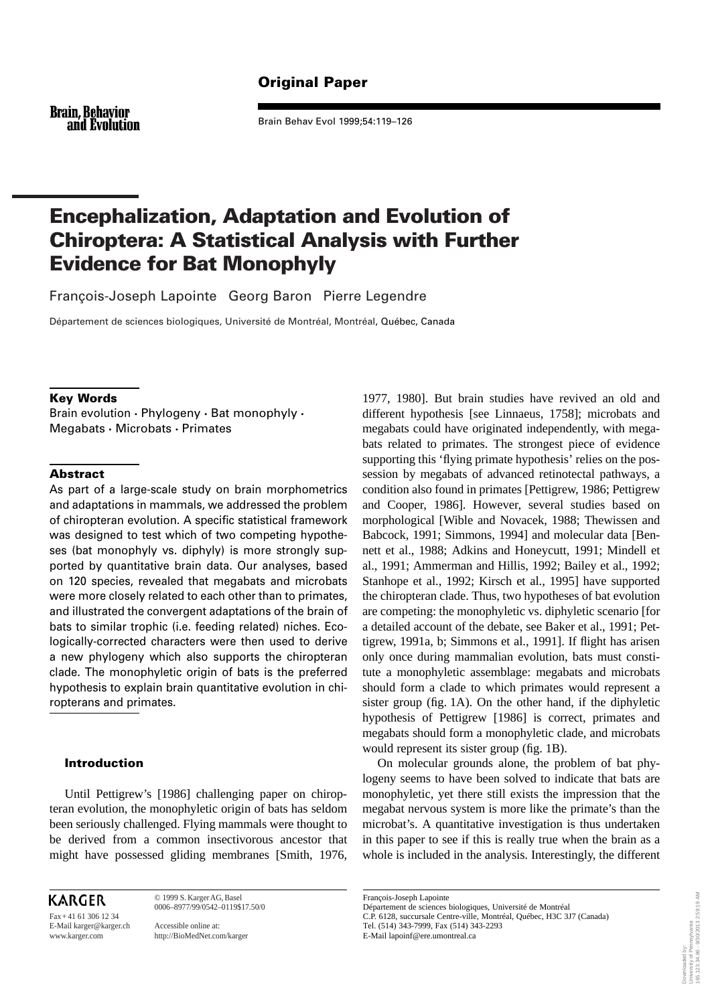## Original Paper

**Brain, Behavior** and Evolution

Brain Behav Evol 1999;54:119–126

# Encephalization, Adaptation and Evolution of Chiroptera: A Statistical Analysis with Further Evidence for Bat Monophyly

François-Joseph Lapointe Georg Baron Pierre Legendre

Département de sciences biologiques, Université de Montréal, Montréal, Québec, Canada

## Key Words

Brain evolution • Phylogeny • Bat monophyly • Megabats • Microbats • Primates

### Abstract

As part of a large-scale study on brain morphometrics and adaptations in mammals, we addressed the problem of chiropteran evolution. A specific statistical framework was designed to test which of two competing hypotheses (bat monophyly vs. diphyly) is more strongly supported by quantitative brain data. Our analyses, based on 120 species, revealed that megabats and microbats were more closely related to each other than to primates, and illustrated the convergent adaptations of the brain of bats to similar trophic (i.e. feeding related) niches. Ecologically-corrected characters were then used to derive a new phylogeny which also supports the chiropteran clade. The monophyletic origin of bats is the preferred hypothesis to explain brain quantitative evolution in chiropterans and primates.

## Introduction

Until Pettigrew's [1986] challenging paper on chiropteran evolution, the monophyletic origin of bats has seldom been seriously challenged. Flying mammals were thought to be derived from a common insectivorous ancestor that might have possessed gliding membranes [Smith, 1976,

**KARGER** 

Fax+ 41 61 306 12 34 E-Mail karger@karger.ch Accessible online at:

© 1999 S. KargerAG, Basel 0006–8977/99/0542–0119\$17.50/0

http://BioMedNet.com/karger

1977, 1980]. But brain studies have revived an old and different hypothesis [see Linnaeus, 1758]; microbats and megabats could have originated independently, with megabats related to primates. The strongest piece of evidence supporting this 'flying primate hypothesis' relies on the possession by megabats of advanced retinotectal pathways, a condition also found in primates [Pettigrew, 1986; Pettigrew and Cooper, 1986]. However, several studies based on morphological [Wible and Novacek, 1988; Thewissen and Babcock, 1991; Simmons, 1994] and molecular data [Bennett et al., 1988; Adkins and Honeycutt, 1991; Mindell et al., 1991; Ammerman and Hillis, 1992; Bailey et al., 1992; Stanhope et al., 1992; Kirsch et al., 1995] have supported the chiropteran clade. Thus, two hypotheses of bat evolution are competing: the monophyletic vs. diphyletic scenario [for a detailed account of the debate, see Baker et al., 1991; Pettigrew, 1991a, b; Simmons et al., 1991]. If flight has arisen only once during mammalian evolution, bats must constitute a monophyletic assemblage: megabats and microbats should form a clade to which primates would represent a sister group (fig. 1A). On the other hand, if the diphyletic hypothesis of Pettigrew [1986] is correct, primates and megabats should form a monophyletic clade, and microbats would represent its sister group (fig. 1B).

On molecular grounds alone, the problem of bat phylogeny seems to have been solved to indicate that bats are monophyletic, yet there still exists the impression that the megabat nervous system is more like the primate's than the microbat's. A quantitative investigation is thus undertaken in this paper to see if this is really true when the brain as a whole is included in the analysis. Interestingly, the different

François-Joseph Lapointe Département de sciences biologiques, Université de Montréal C.P. 6128, succursale Centre-ville, Montréal, Québec, H3C 3J7 (Canada) Tel. (514) 343-7999, Fax (514) 343-2293 E-Mail lapoinf@ere.umontreal.ca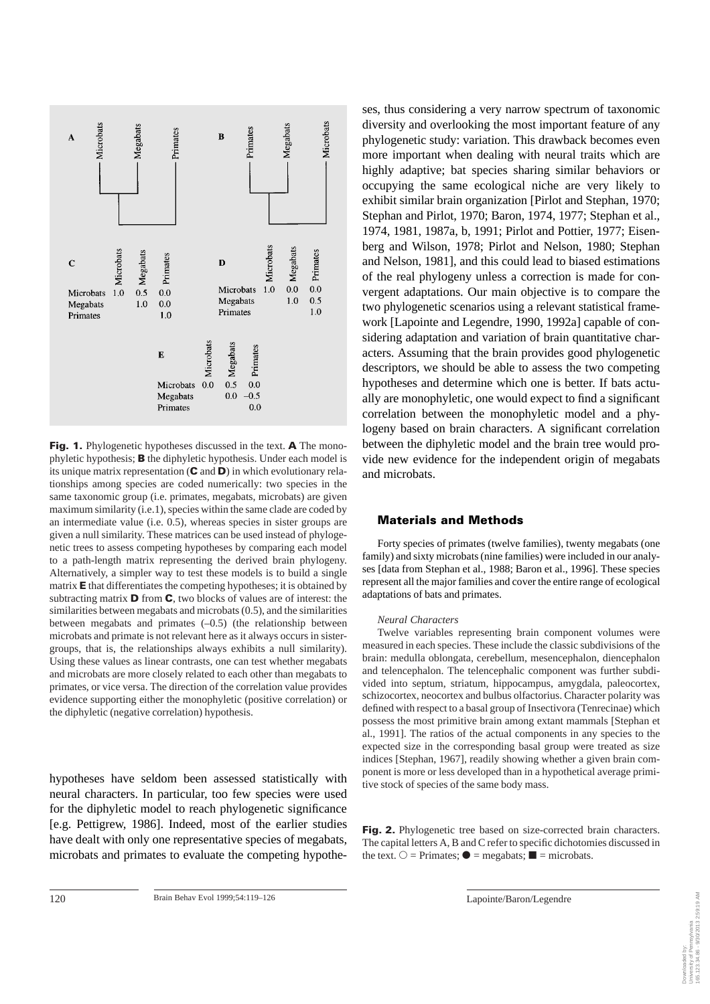

Fig. 1. Phylogenetic hypotheses discussed in the text. A The monophyletic hypothesis; B the diphyletic hypothesis. Under each model is its unique matrix representation  $(C \text{ and } D)$  in which evolutionary relationships among species are coded numerically: two species in the same taxonomic group (i.e. primates, megabats, microbats) are given maximum similarity (i.e.1), species within the same clade are coded by an intermediate value (i.e. 0.5), whereas species in sister groups are given a null similarity. These matrices can be used instead of phylogenetic trees to assess competing hypotheses by comparing each model to a path-length matrix representing the derived brain phylogeny. Alternatively, a simpler way to test these models is to build a single matrix  $\bf{E}$  that differentiates the competing hypotheses; it is obtained by subtracting matrix  $\mathbf D$  from  $\mathbf C$ , two blocks of values are of interest: the similarities between megabats and microbats (0.5), and the similarities between megabats and primates  $(-0.5)$  (the relationship between microbats and primate is not relevant here as it always occurs in sistergroups, that is, the relationships always exhibits a null similarity). Using these values as linear contrasts, one can test whether megabats and microbats are more closely related to each other than megabats to primates, or vice versa. The direction of the correlation value provides evidence supporting either the monophyletic (positive correlation) or the diphyletic (negative correlation) hypothesis.

hypotheses have seldom been assessed statistically with neural characters. In particular, too few species were used for the diphyletic model to reach phylogenetic significance [e.g. Pettigrew, 1986]. Indeed, most of the earlier studies have dealt with only one representative species of megabats, microbats and primates to evaluate the competing hypotheses, thus considering a very narrow spectrum of taxonomic diversity and overlooking the most important feature of any phylogenetic study: variation. This drawback becomes even more important when dealing with neural traits which are highly adaptive; bat species sharing similar behaviors or occupying the same ecological niche are very likely to exhibit similar brain organization [Pirlot and Stephan, 1970; Stephan and Pirlot, 1970; Baron, 1974, 1977; Stephan et al., 1974, 1981, 1987a, b, 1991; Pirlot and Pottier, 1977; Eisenberg and Wilson, 1978; Pirlot and Nelson, 1980; Stephan and Nelson, 1981], and this could lead to biased estimations of the real phylogeny unless a correction is made for convergent adaptations. Our main objective is to compare the two phylogenetic scenarios using a relevant statistical framework [Lapointe and Legendre, 1990, 1992a] capable of considering adaptation and variation of brain quantitative characters. Assuming that the brain provides good phylogenetic descriptors, we should be able to assess the two competing hypotheses and determine which one is better. If bats actually are monophyletic, one would expect to find a significant correlation between the monophyletic model and a phylogeny based on brain characters. A significant correlation between the diphyletic model and the brain tree would provide new evidence for the independent origin of megabats and microbats.

## Materials and Methods

Forty species of primates (twelve families), twenty megabats (one family) and sixty microbats (nine families) were included in our analyses [data from Stephan et al., 1988; Baron et al., 1996]. These species represent all the major families and cover the entire range of ecological adaptations of bats and primates.

#### *Neural Characters*

Twelve variables representing brain component volumes were measured in each species. These include the classic subdivisions of the brain: medulla oblongata, cerebellum, mesencephalon, diencephalon and telencephalon. The telencephalic component was further subdivided into septum, striatum, hippocampus, amygdala, paleocortex, schizocortex, neocortex and bulbus olfactorius. Character polarity was defined with respect to a basal group of Insectivora (Tenrecinae) which possess the most primitive brain among extant mammals [Stephan et al., 1991]. The ratios of the actual components in any species to the expected size in the corresponding basal group were treated as size indices [Stephan, 1967], readily showing whether a given brain component is more or less developed than in a hypothetical average primitive stock of species of the same body mass.

Fig. 2. Phylogenetic tree based on size-corrected brain characters. The capital letters A, B and C refer to specific dichotomies discussed in the text.  $\bigcirc$  = Primates;  $\bullet$  = megabats;  $\blacksquare$  = microbats.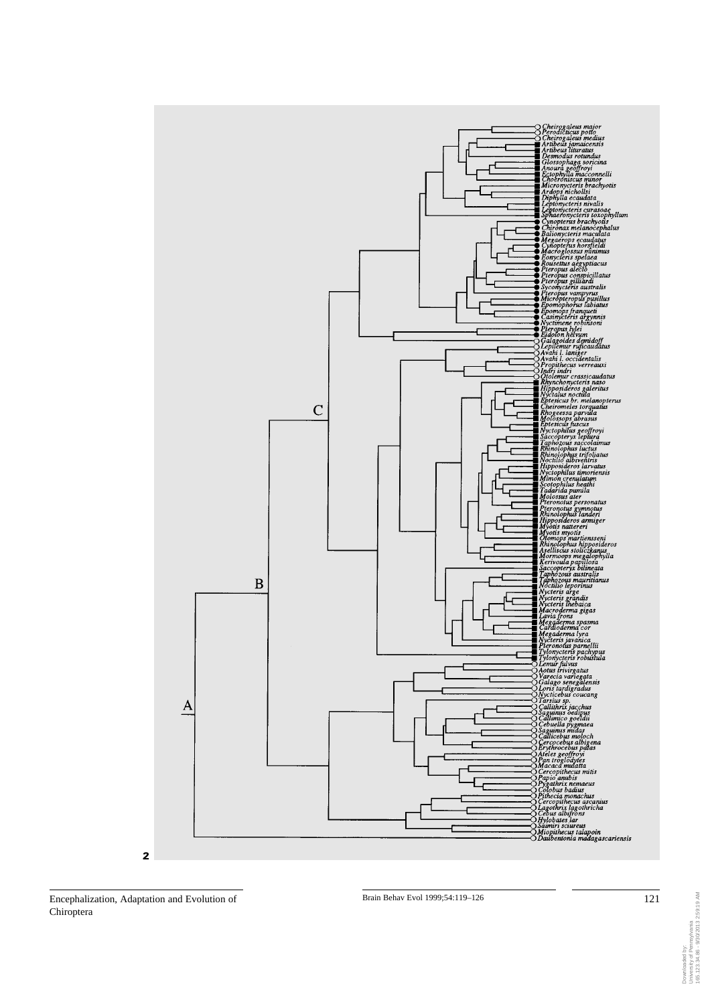

Encephalization, Adaptation and Evolution of 121 Brain Behav Evol 1999;54:119-126 121 Chiroptera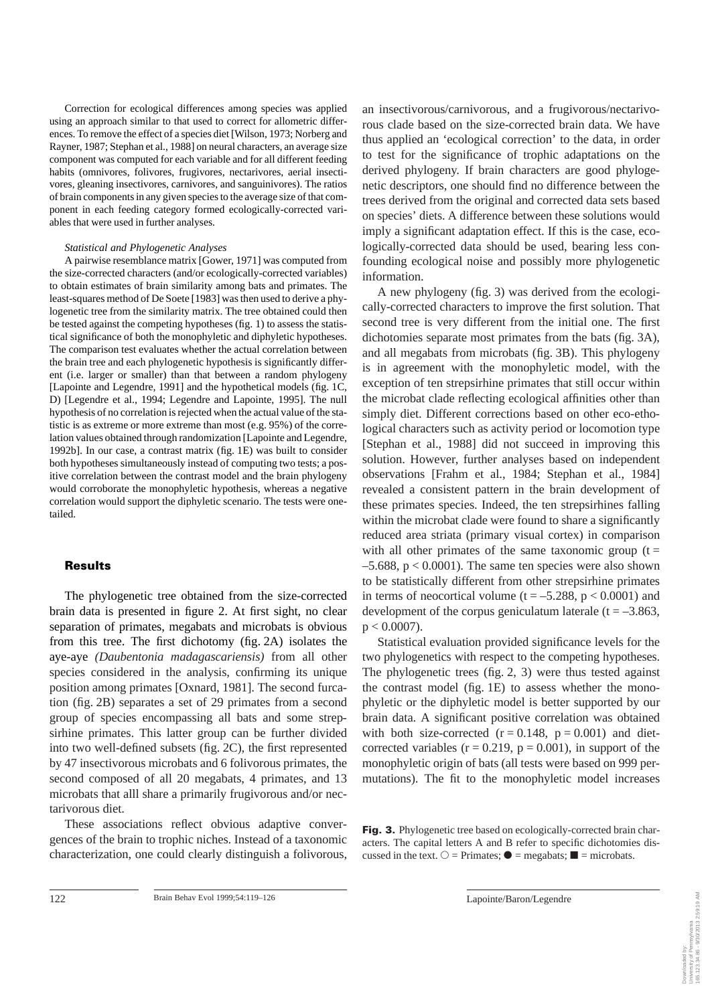Correction for ecological differences among species was applied using an approach similar to that used to correct for allometric differences. To remove the effect of a species diet [Wilson, 1973; Norberg and Rayner, 1987; Stephan et al., 1988] on neural characters, an average size component was computed for each variable and for all different feeding habits (omnivores, folivores, frugivores, nectarivores, aerial insectivores, gleaning insectivores, carnivores, and sanguinivores). The ratios of brain components in any given species to the average size of that component in each feeding category formed ecologically-corrected variables that were used in further analyses.

#### *Statistical and Phylogenetic Analyses*

A pairwise resemblance matrix [Gower, 1971] was computed from the size-corrected characters (and/or ecologically-corrected variables) to obtain estimates of brain similarity among bats and primates. The least-squares method of De Soete [1983] was then used to derive a phylogenetic tree from the similarity matrix. The tree obtained could then be tested against the competing hypotheses (fig. 1) to assess the statistical significance of both the monophyletic and diphyletic hypotheses. The comparison test evaluates whether the actual correlation between the brain tree and each phylogenetic hypothesis is significantly different (i.e. larger or smaller) than that between a random phylogeny [Lapointe and Legendre, 1991] and the hypothetical models (fig. 1C, D) [Legendre et al., 1994; Legendre and Lapointe, 1995]. The null hypothesis of no correlation is rejected when the actual value of the statistic is as extreme or more extreme than most (e.g. 95%) of the correlation values obtained through randomization [Lapointe and Legendre, 1992b]. In our case, a contrast matrix (fig. 1E) was built to consider both hypotheses simultaneously instead of computing two tests; a positive correlation between the contrast model and the brain phylogeny would corroborate the monophyletic hypothesis, whereas a negative correlation would support the diphyletic scenario. The tests were onetailed.

#### Results

The phylogenetic tree obtained from the size-corrected brain data is presented in figure 2. At first sight, no clear separation of primates, megabats and microbats is obvious from this tree. The first dichotomy (fig. 2A) isolates the aye-aye *(Daubentonia madagascariensis)* from all other species considered in the analysis, confirming its unique position among primates [Oxnard, 1981]. The second furcation (fig. 2B) separates a set of 29 primates from a second group of species encompassing all bats and some strepsirhine primates. This latter group can be further divided into two well-defined subsets (fig. 2C), the first represented by 47 insectivorous microbats and 6 folivorous primates, the second composed of all 20 megabats, 4 primates, and 13 microbats that alll share a primarily frugivorous and/or nectarivorous diet.

These associations reflect obvious adaptive convergences of the brain to trophic niches. Instead of a taxonomic characterization, one could clearly distinguish a folivorous, an insectivorous/carnivorous, and a frugivorous/nectarivorous clade based on the size-corrected brain data. We have thus applied an 'ecological correction' to the data, in order to test for the significance of trophic adaptations on the derived phylogeny. If brain characters are good phylogenetic descriptors, one should find no difference between the trees derived from the original and corrected data sets based on species' diets. A difference between these solutions would imply a significant adaptation effect. If this is the case, ecologically-corrected data should be used, bearing less confounding ecological noise and possibly more phylogenetic information.

A new phylogeny (fig. 3) was derived from the ecologically-corrected characters to improve the first solution. That second tree is very different from the initial one. The first dichotomies separate most primates from the bats (fig. 3A), and all megabats from microbats (fig. 3B). This phylogeny is in agreement with the monophyletic model, with the exception of ten strepsirhine primates that still occur within the microbat clade reflecting ecological affinities other than simply diet. Different corrections based on other eco-ethological characters such as activity period or locomotion type [Stephan et al., 1988] did not succeed in improving this solution. However, further analyses based on independent observations [Frahm et al., 1984; Stephan et al., 1984] revealed a consistent pattern in the brain development of these primates species. Indeed, the ten strepsirhines falling within the microbat clade were found to share a significantly reduced area striata (primary visual cortex) in comparison with all other primates of the same taxonomic group  $(t =$  $-5.688$ ,  $p < 0.0001$ ). The same ten species were also shown to be statistically different from other strepsirhine primates in terms of neocortical volume  $(t = -5.288, p < 0.0001)$  and development of the corpus geniculatum laterale ( $t = -3.863$ ,  $p < 0.0007$ ).

Statistical evaluation provided significance levels for the two phylogenetics with respect to the competing hypotheses. The phylogenetic trees (fig. 2, 3) were thus tested against the contrast model (fig. 1E) to assess whether the monophyletic or the diphyletic model is better supported by our brain data. A significant positive correlation was obtained with both size-corrected  $(r = 0.148, p = 0.001)$  and dietcorrected variables  $(r = 0.219, p = 0.001)$ , in support of the monophyletic origin of bats (all tests were based on 999 permutations). The fit to the monophyletic model increases

Fig. 3. Phylogenetic tree based on ecologically-corrected brain characters. The capital letters A and B refer to specific dichotomies discussed in the text.  $\bigcirc$  = Primates;  $\bullet$  = megabats;  $\blacksquare$  = microbats.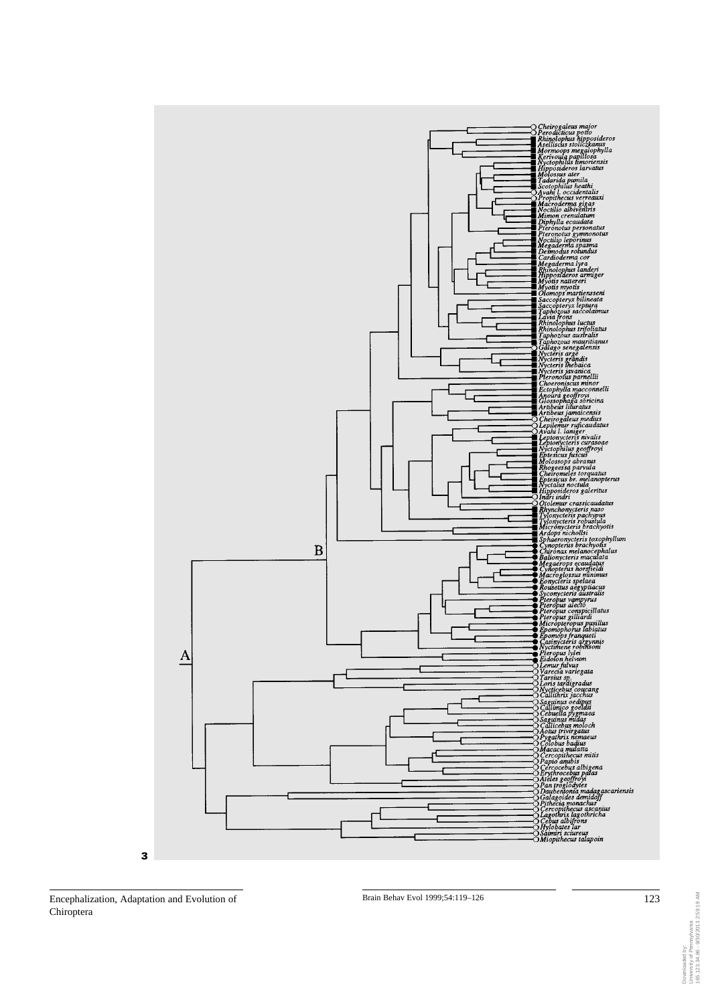

Encephalization, Adaptation and Evolution of 123 Chiroptera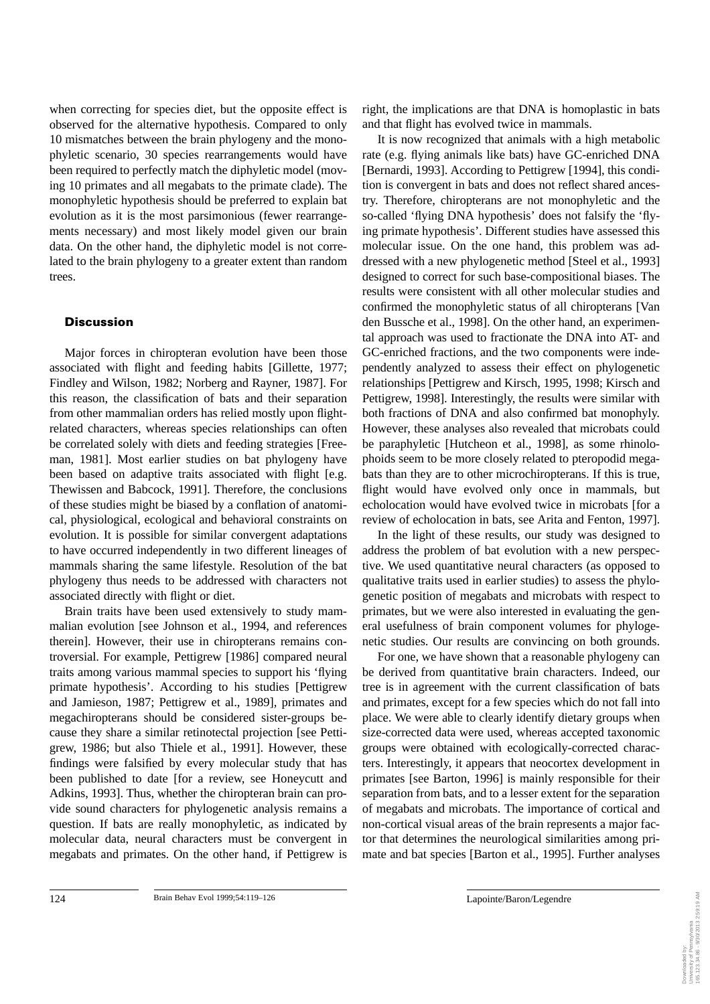when correcting for species diet, but the opposite effect is observed for the alternative hypothesis. Compared to only 10 mismatches between the brain phylogeny and the monophyletic scenario, 30 species rearrangements would have been required to perfectly match the diphyletic model (moving 10 primates and all megabats to the primate clade). The monophyletic hypothesis should be preferred to explain bat evolution as it is the most parsimonious (fewer rearrangements necessary) and most likely model given our brain data. On the other hand, the diphyletic model is not correlated to the brain phylogeny to a greater extent than random trees.

## **Discussion**

Major forces in chiropteran evolution have been those associated with flight and feeding habits [Gillette, 1977; Findley and Wilson, 1982; Norberg and Rayner, 1987]. For this reason, the classification of bats and their separation from other mammalian orders has relied mostly upon flightrelated characters, whereas species relationships can often be correlated solely with diets and feeding strategies [Freeman, 1981]. Most earlier studies on bat phylogeny have been based on adaptive traits associated with flight [e.g. Thewissen and Babcock, 1991]. Therefore, the conclusions of these studies might be biased by a conflation of anatomical, physiological, ecological and behavioral constraints on evolution. It is possible for similar convergent adaptations to have occurred independently in two different lineages of mammals sharing the same lifestyle. Resolution of the bat phylogeny thus needs to be addressed with characters not associated directly with flight or diet.

Brain traits have been used extensively to study mammalian evolution [see Johnson et al., 1994, and references therein]. However, their use in chiropterans remains controversial. For example, Pettigrew [1986] compared neural traits among various mammal species to support his 'flying primate hypothesis'. According to his studies [Pettigrew and Jamieson, 1987; Pettigrew et al., 1989], primates and megachiropterans should be considered sister-groups because they share a similar retinotectal projection [see Pettigrew, 1986; but also Thiele et al., 1991]. However, these findings were falsified by every molecular study that has been published to date [for a review, see Honeycutt and Adkins, 1993]. Thus, whether the chiropteran brain can provide sound characters for phylogenetic analysis remains a question. If bats are really monophyletic, as indicated by molecular data, neural characters must be convergent in megabats and primates. On the other hand, if Pettigrew is right, the implications are that DNA is homoplastic in bats and that flight has evolved twice in mammals.

It is now recognized that animals with a high metabolic rate (e.g. flying animals like bats) have GC-enriched DNA [Bernardi, 1993]. According to Pettigrew [1994], this condition is convergent in bats and does not reflect shared ancestry. Therefore, chiropterans are not monophyletic and the so-called 'flying DNA hypothesis' does not falsify the 'flying primate hypothesis'. Different studies have assessed this molecular issue. On the one hand, this problem was addressed with a new phylogenetic method [Steel et al., 1993] designed to correct for such base-compositional biases. The results were consistent with all other molecular studies and confirmed the monophyletic status of all chiropterans [Van den Bussche et al., 1998]. On the other hand, an experimental approach was used to fractionate the DNA into AT- and GC-enriched fractions, and the two components were independently analyzed to assess their effect on phylogenetic relationships [Pettigrew and Kirsch, 1995, 1998; Kirsch and Pettigrew, 1998]. Interestingly, the results were similar with both fractions of DNA and also confirmed bat monophyly. However, these analyses also revealed that microbats could be paraphyletic [Hutcheon et al., 1998], as some rhinolophoids seem to be more closely related to pteropodid megabats than they are to other microchiropterans. If this is true, flight would have evolved only once in mammals, but echolocation would have evolved twice in microbats [for a review of echolocation in bats, see Arita and Fenton, 1997].

In the light of these results, our study was designed to address the problem of bat evolution with a new perspective. We used quantitative neural characters (as opposed to qualitative traits used in earlier studies) to assess the phylogenetic position of megabats and microbats with respect to primates, but we were also interested in evaluating the general usefulness of brain component volumes for phylogenetic studies. Our results are convincing on both grounds.

For one, we have shown that a reasonable phylogeny can be derived from quantitative brain characters. Indeed, our tree is in agreement with the current classification of bats and primates, except for a few species which do not fall into place. We were able to clearly identify dietary groups when size-corrected data were used, whereas accepted taxonomic groups were obtained with ecologically-corrected characters. Interestingly, it appears that neocortex development in primates [see Barton, 1996] is mainly responsible for their separation from bats, and to a lesser extent for the separation of megabats and microbats. The importance of cortical and non-cortical visual areas of the brain represents a major factor that determines the neurological similarities among primate and bat species [Barton et al., 1995]. Further analyses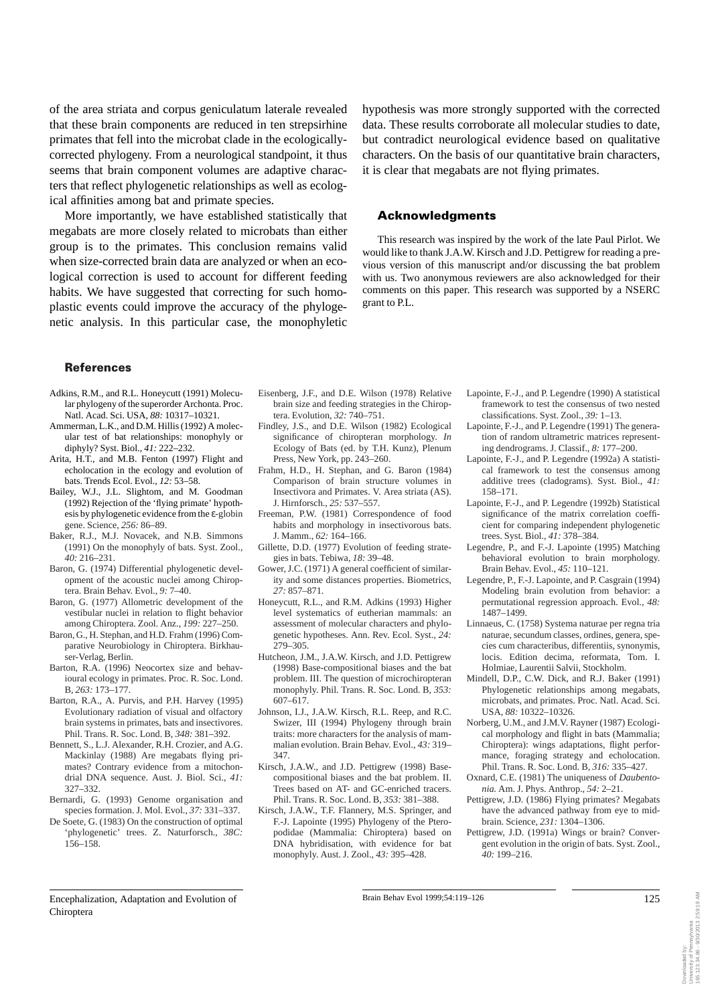of the area striata and corpus geniculatum laterale revealed that these brain components are reduced in ten strepsirhine primates that fell into the microbat clade in the ecologicallycorrected phylogeny. From a neurological standpoint, it thus seems that brain component volumes are adaptive characters that reflect phylogenetic relationships as well as ecological affinities among bat and primate species.

More importantly, we have established statistically that megabats are more closely related to microbats than either group is to the primates. This conclusion remains valid when size-corrected brain data are analyzed or when an ecological correction is used to account for different feeding habits. We have suggested that correcting for such homoplastic events could improve the accuracy of the phylogenetic analysis. In this particular case, the monophyletic

hypothesis was more strongly supported with the corrected data. These results corroborate all molecular studies to date, but contradict neurological evidence based on qualitative characters. On the basis of our quantitative brain characters, it is clear that megabats are not flying primates.

#### Acknowledgments

This research was inspired by the work of the late Paul Pirlot. We would like to thank J.A.W. Kirsch and J.D. Pettigrew for reading a previous version of this manuscript and/or discussing the bat problem with us. Two anonymous reviewers are also acknowledged for their comments on this paper. This research was supported by a NSERC grant to P.L.

#### References

- Adkins, R.M., and R.L. Honeycutt (1991) Molecular phylogeny of the superorder Archonta. Proc. Natl. Acad. Sci. USA, *88:* 10317–10321.
- Ammerman, L.K., and D.M. Hillis (1992) A molecular test of bat relationships: monophyly or diphyly? Syst. Biol., *41:* 222–232.
- Arita, H.T., and M.B. Fenton (1997) Flight and echolocation in the ecology and evolution of bats. Trends Ecol. Evol., *12:* 53–58.
- Bailey, W.J., J.L. Slightom, and M. Goodman (1992) Rejection of the 'flying primate' hypothesis by phylogenetic evidence from the ε-globin gene. Science, *256:* 86–89.
- Baker, R.J., M.J. Novacek, and N.B. Simmons (1991) On the monophyly of bats. Syst. Zool., *40:* 216–231.
- Baron, G. (1974) Differential phylogenetic development of the acoustic nuclei among Chiroptera. Brain Behav. Evol., *9:* 7–40.
- Baron, G. (1977) Allometric development of the vestibular nuclei in relation to flight behavior among Chiroptera. Zool. Anz., *199:* 227–250.
- Baron, G., H. Stephan, and H.D. Frahm (1996) Comparative Neurobiology in Chiroptera. Birkhauser-Verlag, Berlin.
- Barton, R.A. (1996) Neocortex size and behavioural ecology in primates. Proc. R. Soc. Lond. B, *263:* 173–177.
- Barton, R.A., A. Purvis, and P.H. Harvey (1995) Evolutionary radiation of visual and olfactory brain systems in primates, bats and insectivores. Phil. Trans. R. Soc. Lond. B, *348:* 381–392.
- Bennett, S., L.J. Alexander, R.H. Crozier, and A.G. Mackinlay (1988) Are megabats flying primates? Contrary evidence from a mitochondrial DNA sequence. Aust. J. Biol. Sci., *41:* 327–332.
- Bernardi, G. (1993) Genome organisation and species formation. J. Mol. Evol., *37:* 331–337.
- De Soete, G. (1983) On the construction of optimal 'phylogenetic' trees. Z. Naturforsch., *38C:* 156–158.
- Eisenberg, J.F., and D.E. Wilson (1978) Relative brain size and feeding strategies in the Chiroptera. Evolution, *32:* 740–751.
- Findley, J.S., and D.E. Wilson (1982) Ecological significance of chiropteran morphology. *In* Ecology of Bats (ed. by T.H. Kunz), Plenum Press, New York, pp. 243–260.
- Frahm, H.D., H. Stephan, and G. Baron (1984) Comparison of brain structure volumes in Insectivora and Primates. V. Area striata (AS). J. Hirnforsch., *25:* 537–557.
- Freeman, P.W. (1981) Correspondence of food habits and morphology in insectivorous bats. J. Mamm., *62:* 164–166.
- Gillette, D.D. (1977) Evolution of feeding strategies in bats. Tebiwa, *18:* 39–48.
- Gower, J.C. (1971) A general coefficient of similarity and some distances properties. Biometrics, *27:* 857–871.
- Honeycutt, R.L., and R.M. Adkins (1993) Higher level systematics of eutherian mammals: an assessment of molecular characters and phylogenetic hypotheses. Ann. Rev. Ecol. Syst., *24:* 279–305.
- Hutcheon, J.M., J.A.W. Kirsch, and J.D. Pettigrew (1998) Base-compositional biases and the bat problem. III. The question of microchiropteran monophyly. Phil. Trans. R. Soc. Lond. B, *353:* 607–617.
- Johnson, I.J., J.A.W. Kirsch, R.L. Reep, and R.C. Swizer, III (1994) Phylogeny through brain traits: more characters for the analysis of mammalian evolution. Brain Behav. Evol., *43:* 319– 347.
- Kirsch, J.A.W., and J.D. Pettigrew (1998) Basecompositional biases and the bat problem. II. Trees based on AT- and GC-enriched tracers. Phil. Trans. R. Soc. Lond. B, *353:* 381–388.
- Kirsch, J.A.W., T.F. Flannery, M.S. Springer, and F.-J. Lapointe (1995) Phylogeny of the Pteropodidae (Mammalia: Chiroptera) based on DNA hybridisation, with evidence for bat monophyly. Aust. J. Zool., *43:* 395–428.
- Lapointe, F.-J., and P. Legendre (1990) A statistical framework to test the consensus of two nested classifications. Syst. Zool., *39:* 1–13.
- Lapointe, F.-J., and P. Legendre (1991) The generation of random ultrametric matrices representing dendrograms. J. Classif., *8:* 177–200.
- Lapointe, F.-J., and P. Legendre (1992a) A statistical framework to test the consensus among additive trees (cladograms). Syst. Biol., *41:* 158–171.
- Lapointe, F.-J., and P. Legendre (1992b) Statistical significance of the matrix correlation coefficient for comparing independent phylogenetic trees. Syst. Biol., *41:* 378–384.
- Legendre, P., and F.-J. Lapointe (1995) Matching behavioral evolution to brain morphology. Brain Behav. Evol., *45:* 110–121.
- Legendre, P., F.-J. Lapointe, and P. Casgrain (1994) Modeling brain evolution from behavior: a permutational regression approach. Evol., *48:* 1487–1499.
- Linnaeus, C. (1758) Systema naturae per regna tria naturae, secundum classes, ordines, genera, species cum characteribus, differentiis, synonymis, locis. Edition decima, reformata, Tom. I. Holmiae, Laurentii Salvii, Stockholm.
- Mindell, D.P., C.W. Dick, and R.J. Baker (1991) Phylogenetic relationships among megabats, microbats, and primates. Proc. Natl. Acad. Sci. USA, *88:* 10322–10326.
- Norberg, U.M., and J.M.V. Rayner (1987) Ecological morphology and flight in bats (Mammalia; Chiroptera): wings adaptations, flight performance, foraging strategy and echolocation. Phil. Trans. R. Soc. Lond. B, *316:* 335–427.
- Oxnard, C.E. (1981) The uniqueness of *Daubentonia.* Am. J. Phys. Anthrop., *54:* 2–21.
- Pettigrew, J.D. (1986) Flying primates? Megabats have the advanced pathway from eye to midbrain. Science, *231:* 1304–1306.
- Pettigrew, J.D. (1991a) Wings or brain? Convergent evolution in the origin of bats. Syst. Zool., *40:* 199–216.

#### Encephalization, Adaptation and Evolution of 125 Brain Behav Evol 1999;54:119-126 125 Chiroptera